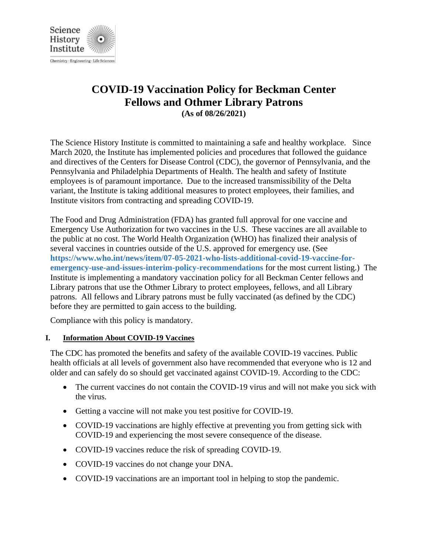

**COVID-19 Vaccination Policy for Beckman Center**

**Fellows and Othmer Library Patrons (As of 08/26/2021)**

The Science History Institute is committed to maintaining a safe and healthy workplace. Since March 2020, the Institute has implemented policies and procedures that followed the guidance and directives of the Centers for Disease Control (CDC), the governor of Pennsylvania, and the Pennsylvania and Philadelphia Departments of Health. The health and safety of Institute employees is of paramount importance. Due to the increased transmissibility of the Delta variant, the Institute is taking additional measures to protect employees, their families, and Institute visitors from contracting and spreading COVID-19.

The Food and Drug Administration (FDA) has granted full approval for one vaccine and Emergency Use Authorization for two vaccines in the U.S. These vaccines are all available to the public at no cost. The World Health Organization (WHO) has finalized their analysis of several vaccines in countries outside of the U.S. approved for emergency use. (See **https://www.who.int/news/item/07-05-2021-who-lists-additional-covid-19-vaccine-foremergency-use-and-issues-interim-policy-recommendations** for the most current listing.) The Institute is implementing a mandatory vaccination policy for all Beckman Center fellows and Library patrons that use the Othmer Library to protect employees, fellows, and all Library patrons. All fellows and Library patrons must be fully vaccinated (as defined by the CDC) before they are permitted to gain access to the building.

Compliance with this policy is mandatory.

## **I. Information About COVID-19 Vaccines**

The CDC has promoted the benefits and safety of the available COVID-19 vaccines. Public health officials at all levels of government also have recommended that everyone who is 12 and older and can safely do so should get vaccinated against COVID-19. According to the CDC:

- The current vaccines do not contain the COVID-19 virus and will not make you sick with the virus.
- Getting a vaccine will not make you test positive for COVID-19.
- COVID-19 vaccinations are highly effective at preventing you from getting sick with COVID-19 and experiencing the most severe consequence of the disease.
- COVID-19 vaccines reduce the risk of spreading COVID-19.
- COVID-19 vaccines do not change your DNA.
- COVID-19 vaccinations are an important tool in helping to stop the pandemic.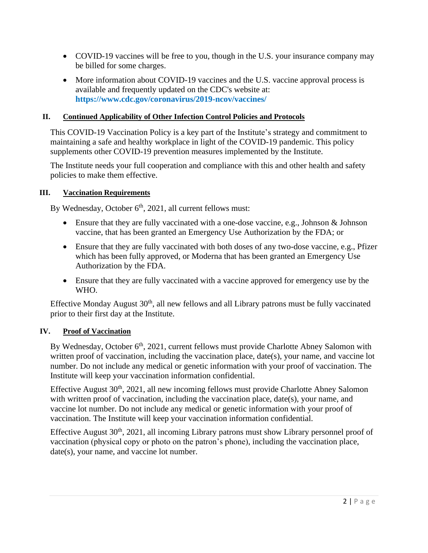- COVID-19 vaccines will be free to you, though in the U.S. your insurance company may be billed for some charges.
- More information about COVID-19 vaccines and the U.S. vaccine approval process is available and frequently updated on the CDC's website at: **https://www.cdc.gov/coronavirus/2019-ncov/vaccines/**

# **II. Continued Applicability of Other Infection Control Policies and Protocols**

This COVID-19 Vaccination Policy is a key part of the Institute's strategy and commitment to maintaining a safe and healthy workplace in light of the COVID-19 pandemic. This policy supplements other COVID-19 prevention measures implemented by the Institute.

The Institute needs your full cooperation and compliance with this and other health and safety policies to make them effective.

## **III. Vaccination Requirements**

By Wednesday, October 6<sup>th</sup>, 2021, all current fellows must:

- Ensure that they are fully vaccinated with a one-dose vaccine, e.g., Johnson & Johnson vaccine, that has been granted an Emergency Use Authorization by the FDA; or
- Ensure that they are fully vaccinated with both doses of any two-dose vaccine, e.g., Pfizer which has been fully approved, or Moderna that has been granted an Emergency Use Authorization by the FDA.
- Ensure that they are fully vaccinated with a vaccine approved for emergency use by the WHO.

Effective Monday August 30<sup>th</sup>, all new fellows and all Library patrons must be fully vaccinated prior to their first day at the Institute.

## **IV. Proof of Vaccination**

By Wednesday, October  $6<sup>th</sup>$ , 2021, current fellows must provide Charlotte Abney Salomon with written proof of vaccination, including the vaccination place, date(s), your name, and vaccine lot number. Do not include any medical or genetic information with your proof of vaccination. The Institute will keep your vaccination information confidential.

Effective August 30<sup>th</sup>, 2021, all new incoming fellows must provide Charlotte Abney Salomon with written proof of vaccination, including the vaccination place, date(s), your name, and vaccine lot number. Do not include any medical or genetic information with your proof of vaccination. The Institute will keep your vaccination information confidential.

Effective August 30th, 2021, all incoming Library patrons must show Library personnel proof of vaccination (physical copy or photo on the patron's phone), including the vaccination place, date(s), your name, and vaccine lot number.